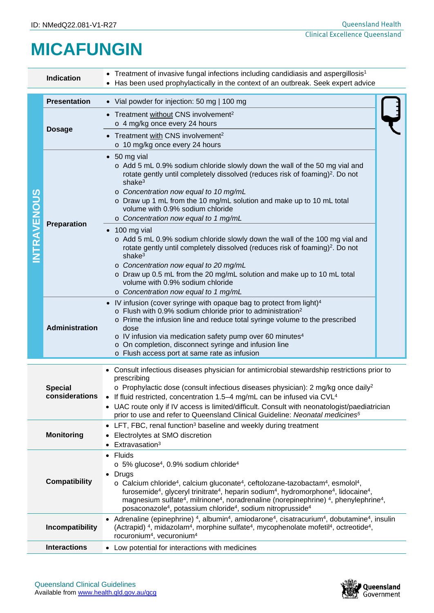## **MICAFUNGIN**

|                                                                                   | <b>Indication</b>                                                                                                                                                                                                                                                                                                                                                                             | • Treatment of invasive fungal infections including candidiasis and aspergillosis <sup>1</sup><br>• Has been used prophylactically in the context of an outbreak. Seek expert advice                                                                                                                                                                                                                                                                                                                                                                                                                                                 |  |  |  |
|-----------------------------------------------------------------------------------|-----------------------------------------------------------------------------------------------------------------------------------------------------------------------------------------------------------------------------------------------------------------------------------------------------------------------------------------------------------------------------------------------|--------------------------------------------------------------------------------------------------------------------------------------------------------------------------------------------------------------------------------------------------------------------------------------------------------------------------------------------------------------------------------------------------------------------------------------------------------------------------------------------------------------------------------------------------------------------------------------------------------------------------------------|--|--|--|
| <b>NTRAVENOUS</b>                                                                 | <b>Presentation</b>                                                                                                                                                                                                                                                                                                                                                                           | • Vial powder for injection: 50 mg   100 mg                                                                                                                                                                                                                                                                                                                                                                                                                                                                                                                                                                                          |  |  |  |
|                                                                                   | <b>Dosage</b>                                                                                                                                                                                                                                                                                                                                                                                 | • Treatment without CNS involvement <sup>2</sup><br>o 4 mg/kg once every 24 hours                                                                                                                                                                                                                                                                                                                                                                                                                                                                                                                                                    |  |  |  |
|                                                                                   |                                                                                                                                                                                                                                                                                                                                                                                               | • Treatment with CNS involvement <sup>2</sup><br>o 10 mg/kg once every 24 hours                                                                                                                                                                                                                                                                                                                                                                                                                                                                                                                                                      |  |  |  |
|                                                                                   | <b>Preparation</b>                                                                                                                                                                                                                                                                                                                                                                            | $\bullet$ 50 mg vial<br>o Add 5 mL 0.9% sodium chloride slowly down the wall of the 50 mg vial and<br>rotate gently until completely dissolved (reduces risk of foaming) <sup>2</sup> . Do not<br>shak $e3$<br>o Concentration now equal to 10 mg/mL<br>o Draw up 1 mL from the 10 mg/mL solution and make up to 10 mL total<br>volume with 0.9% sodium chloride<br>o Concentration now equal to 1 mg/mL<br>100 mg vial<br>o Add 5 mL 0.9% sodium chloride slowly down the wall of the 100 mg vial and                                                                                                                               |  |  |  |
|                                                                                   |                                                                                                                                                                                                                                                                                                                                                                                               | rotate gently until completely dissolved (reduces risk of foaming) <sup>2</sup> . Do not<br>shak $e^3$<br>o Concentration now equal to 20 mg/mL<br>o Draw up 0.5 mL from the 20 mg/mL solution and make up to 10 mL total<br>volume with 0.9% sodium chloride<br>o Concentration now equal to 1 mg/mL                                                                                                                                                                                                                                                                                                                                |  |  |  |
|                                                                                   | Administration                                                                                                                                                                                                                                                                                                                                                                                | IV infusion (cover syringe with opaque bag to protect from light) <sup>4</sup><br>o Flush with 0.9% sodium chloride prior to administration <sup>2</sup><br>o Prime the infusion line and reduce total syringe volume to the prescribed<br>dose<br>o IV infusion via medication safety pump over 60 minutes <sup>4</sup><br>o On completion, disconnect syringe and infusion line<br>o Flush access port at same rate as infusion                                                                                                                                                                                                    |  |  |  |
| <b>Special</b><br>considerations                                                  |                                                                                                                                                                                                                                                                                                                                                                                               | • Consult infectious diseases physician for antimicrobial stewardship restrictions prior to<br>prescribing<br>$\circ$ Prophylactic dose (consult infectious diseases physician): 2 mg/kg once daily <sup>2</sup><br>• If fluid restricted, concentration 1.5-4 mg/mL can be infused via CVL <sup>4</sup><br>• UAC route only if IV access is limited/difficult. Consult with neonatologist/paediatrician                                                                                                                                                                                                                             |  |  |  |
| <b>Monitoring</b><br>Electrolytes at SMO discretion<br>Extravasation <sup>3</sup> |                                                                                                                                                                                                                                                                                                                                                                                               | prior to use and refer to Queensland Clinical Guideline: Neonatal medicines <sup>5</sup><br>• LFT, FBC, renal function <sup>3</sup> baseline and weekly during treatment                                                                                                                                                                                                                                                                                                                                                                                                                                                             |  |  |  |
| <b>Compatibility</b>                                                              |                                                                                                                                                                                                                                                                                                                                                                                               | $\bullet$ Fluids<br>$\circ$ 5% glucose <sup>4</sup> , 0.9% sodium chloride <sup>4</sup><br>• Drugs<br>o Calcium chloride <sup>4</sup> , calcium gluconate <sup>4</sup> , ceftolozane-tazobactam <sup>4</sup> , esmolol <sup>4</sup> ,<br>furosemide <sup>4</sup> , glyceryl trinitrate <sup>4</sup> , heparin sodium <sup>4</sup> , hydromorphone <sup>4</sup> , lidocaine <sup>4</sup> ,<br>magnesium sulfate <sup>4</sup> , milrinone <sup>4</sup> , noradrenaline (norepinephrine) <sup>4</sup> , phenylephrine <sup>4</sup> ,<br>posaconazole <sup>4</sup> , potassium chloride <sup>4</sup> , sodium nitroprusside <sup>4</sup> |  |  |  |
|                                                                                   | • Adrenaline (epinephrine) <sup>4</sup> , albumin <sup>4</sup> , amiodarone <sup>4</sup> , cisatracurium <sup>4</sup> , dobutamine <sup>4</sup> , insulin<br>(Actrapid) <sup>4</sup> , midazolam <sup>4</sup> , morphine sulfate <sup>4</sup> , mycophenolate mofetil <sup>4</sup> , octreotide <sup>4</sup> ,<br><b>Incompatibility</b><br>rocuronium <sup>4</sup> , vecuronium <sup>4</sup> |                                                                                                                                                                                                                                                                                                                                                                                                                                                                                                                                                                                                                                      |  |  |  |
|                                                                                   | <b>Interactions</b><br>• Low potential for interactions with medicines                                                                                                                                                                                                                                                                                                                        |                                                                                                                                                                                                                                                                                                                                                                                                                                                                                                                                                                                                                                      |  |  |  |